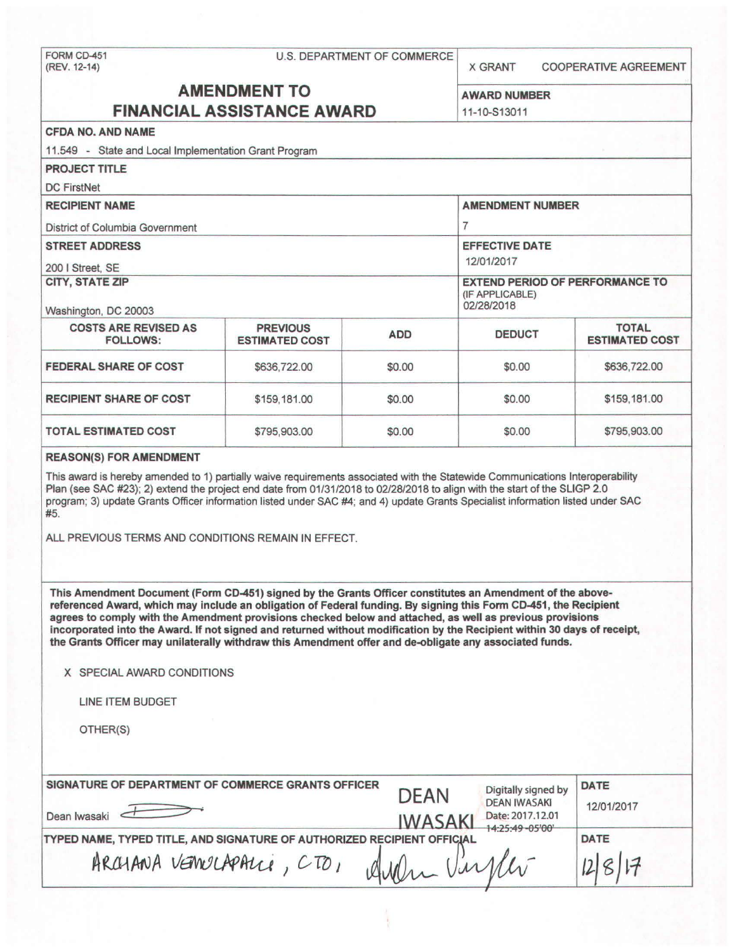FORM CD-451 U.S. DEPARTMENT OF COMMERCE (REV. 12-14) X GRANT COOPERATIVE AGREEMENT **AMENDMENT TO** AWARD NUMBER **FINANCIAL ASSISTANCE AWARD** 11-10-513011 **CFOA NO. ANO NAME**  11.549 - State and Local Implementation Grant Program **PROJECT TITLE**  DC FirstNet **RECIPIENT NAME** AMENDMENT NUMBER District of Columbia Government 7 **STREET ADDRESS EFFECTIVE DATE** 200 I Street, SE 12/01/2017 **CITY, STATE ZIP** EXTEND PERIOD OF PERFORMANCE TO (IF APPLICABLE)<br>02/28/2018 Washington, DC 20003 COSTS ARE REVISED AS PREVIOUS **ADD DEDUCT TOTAL**  FOLLOWS: ESTIMATED COST ADD DEDUCT **ESTIMATED COST FEDERAL SHARE OF COST**  $$636,722.00$  $$60.00$  **\$636,722.00 \$636,722.00 RECIPIENT SHARE OF COST \$159,181.00 \$0.00 \$0.00 \$159,181.00 TOTAL ESTIMATED COST**  $$795,903.00$  $$90,00$  **\$0.00 \$795,903.00** \$795,903.00 **REASON(S) FOR AMENDMENT**  This award is hereby amended to 1) partially waive requirements associated with the Statewide Communications Interoperability Plan (see SAC #23); 2) extend the project end date from 01/31/2018 to 02/28/2018 to align with the start of the SLIGP 2.0 program; 3) update Grants Officer information listed under SAC #4; and 4) update Grants Specialist information listed under SAC #5. ALL PREVIOUS TERMS AND CONDITIONS REMAIN IN EFFECT. This Amendment Document (Form CD-451) signed by the Grants Officer constitutes an Amendment of the **above**referenced **Award,** which may include an obligation of Federal funding. By signing this Fonn CD-451, the Recipient agrees to comply with the Amendment provisions checked below and attached, as well as previous provisions incorporated into the Award. If not signed and returned without modification by the Recipient within 30 **days** of receipt, **the Grants Officer may unilaterally withdraw this Amendment offer and de-obligate any associated funds. X** SPECIAL AWARD CONDITIONS LINE ITEM BUDGET OTHER(S) **SIGNATURE OF DEPARTMENT OF COMMERCE GRANTS OFFICER DEAN** Digitally signed by **DATE DEAN** DEAN IWASAKI 12/01/2017 DEAN IWASAKI<br>Date: 2017.12.01 SIGNATURE OF DEPARTMENT OF COMMERCE GRANTS OFFICER<br>Dean Iwasaki DEAN DEAN IWASAKI<br>IWASAKI Date: 2017.12.01<br>TYPED NAME TYPED TITLE AND SIGNATURE OF ALITHORIZED RECIPIENT OFFICIAL

*Virket* 

**TYPED NAME, TYPED TITLE, AND SIGNATURE OF AUTHORIZED RECIPIENT OFFICIAL DATE DATE**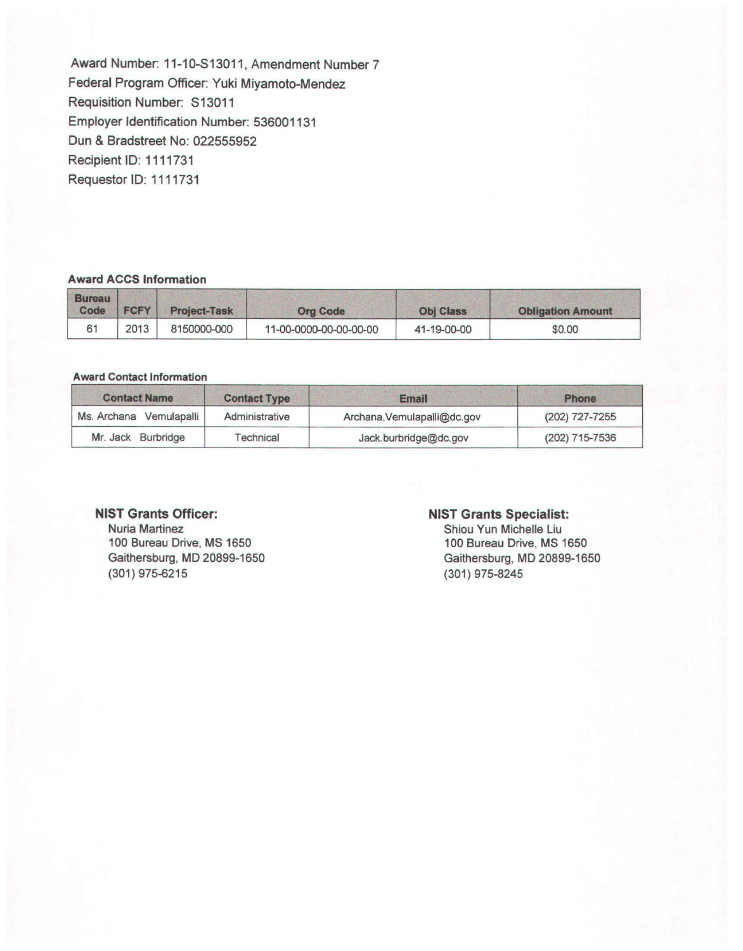**Award** Number: 11-10-S13011, Amendment Number? Federal Program Officer: Yuki Miyamoto-Mendez Requisition Number: S13011 Employer Identification Number: 536001131 Dun & Bradstreet No: 022555952 Recipient ID: 1111731 Requester ID: 1111731

### **Award ACCS Information**

| <b>Bureau</b><br>Code | <b>FCFY</b> | <b>Project-Task</b> | <b>Org Code</b>        | <b>Obj Class</b> | <b>Obligation Amount</b> |
|-----------------------|-------------|---------------------|------------------------|------------------|--------------------------|
| 61                    | 2013        | 8150000-000         | 11-00-0000-00-00-00-00 | 41-19-00-00      | \$0.00                   |

#### Award Contact Information

| <b>Contact Name</b>     | <b>Contact Type</b> | <b>Email</b>                | <b>Phone</b>   |
|-------------------------|---------------------|-----------------------------|----------------|
| Ms. Archana Vemulapalli | Administrative      | Archana. Vemulapalli@dc.gov | (202) 727-7255 |
| Mr. Jack Burbridge      | Technical           | Jack.burbridge@dc.gov       | (202) 715-7536 |

#### **NIST Grants Officer:**

Nuria Martinez 100 Bureau Drive, MS 1650 Gaithersburg, **MD** 20899-1650 (301) 975-6215

#### **NIST Grants Specialist:**

Shiou Yun Michelle Liu 100 Bureau Drive, MS 1650 Gaithersburg, MD 20899-1650 (301) 975-8245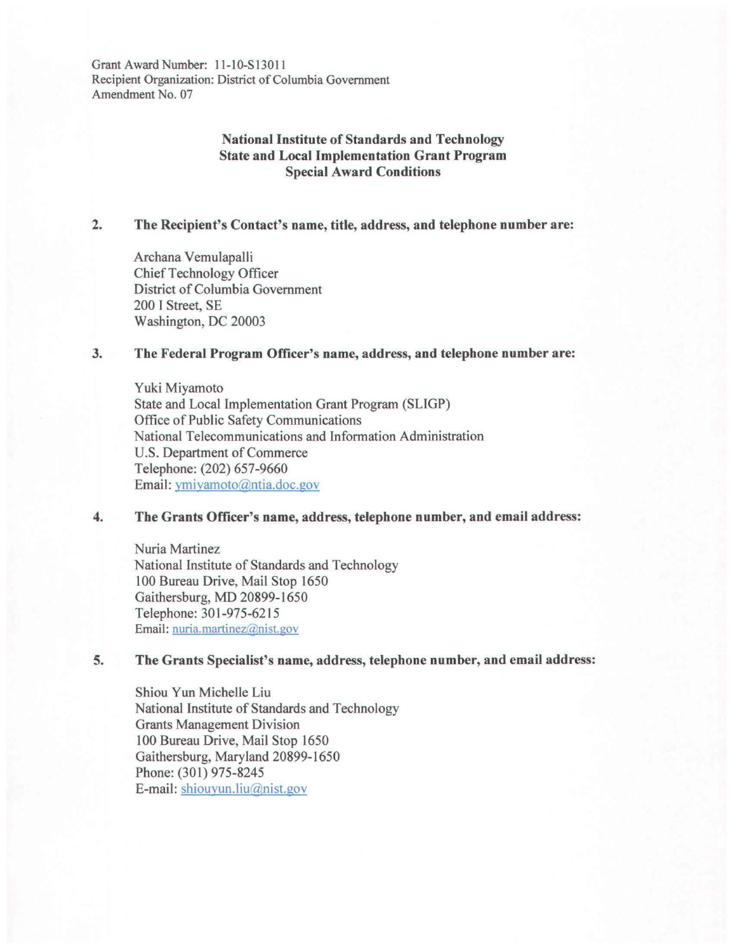Grant **Award** Number: l l-10-S13011 Recipient Organization: District of Columbia Government Amendment No. 07

# **National Institute of Standards and Technology State and Local Implementation Grant Program Special Award Conditions**

## **2. The Recipient's Contact's name, title, address, and telephone number are:**

Archana Vemulapalli Chief Technology Officer District of Columbia Government 200 I Street, SE Washington, DC 20003

## **3. The Federal Program Officer's name, address, and telephone number are:**

Yuki Miyamoto State and Local Implementation Grant Program (SLIGP) Office of Public Safety Communications National Telecommunications and Information Administration U.S. Department of Commerce Telephone: (202) 657-9660 Email: ymiyamoto@ntia.doc.gov

## **4. The Grants Officer's name, address, telephone number, and email address:**

Nuria Martinez National Institute of Standards and Technology 100 Bureau Drive, Mail Stop 1650 Gaithersburg, MD 20899-1650 Telephone: 301-975-6215 Email: nuria.martinez@nist.gov

## **5. The Grants Specialist's name, address, telephone number, and email address:**

Shiou Yun Michelle Liu National Institute of Standards and Technology Grants Management Division 100 Bureau Drive, Mail Stop 1650 Gaithersburg, Maryland 20899-1650 Phone: (301) 975-8245 E-mail: shiouyun.liu@nist.gov